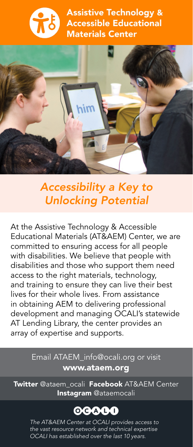



## *Accessibility a Key to Unlocking Potential*

At the Assistive Technology & Accessible Educational Materials (AT&AEM) Center, we are committed to ensuring access for all people with disabilities. We believe that people with disabilities and those who support them need access to the right materials, technology, and training to ensure they can live their best lives for their whole lives. From assistance in obtaining AEM to delivering professional development and managing OCALI's statewide AT Lending Library, the center provides an array of expertise and supports.

### Email ATAEM\_info@ocali.org or visit [www.ataem.org](https://ataem.org)

Twitter @ataem ocali Facebook AT&AEM Center Instagram @ataemocali

# 00000

*The AT&AEM Center at OCALI provides access to the vast resource network and technical expertise OCALI has established over the last 10 years.*